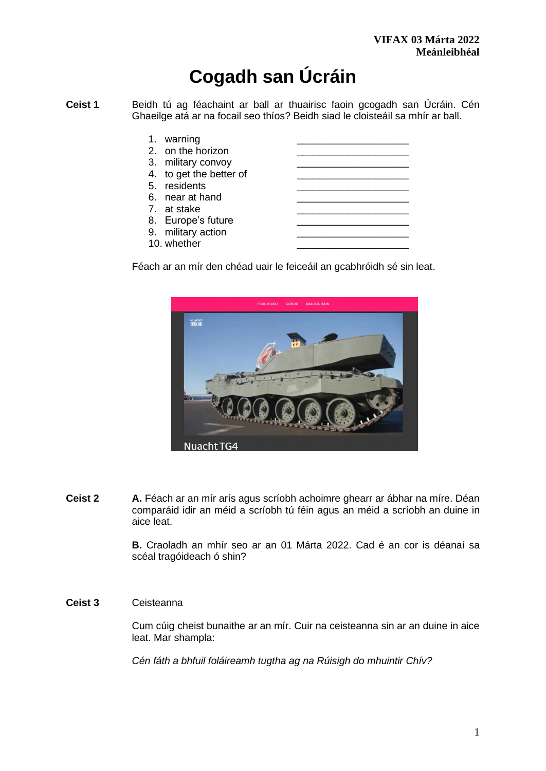# **Cogadh san Úcráin**

**Ceist 1** Beidh tú ag féachaint ar ball ar thuairisc faoin gcogadh san Úcráin. Cén Ghaeilge atá ar na focail seo thíos? Beidh siad le cloisteáil sa mhír ar ball.

| 1. warning              |  |
|-------------------------|--|
| 2. on the horizon       |  |
| 3. military convoy      |  |
| 4. to get the better of |  |
| 5. residents            |  |
| 6. near at hand         |  |
| 7. at stake             |  |
| 8. Europe's future      |  |
| 9. military action      |  |
| 10. whether             |  |
|                         |  |

Féach ar an mír den chéad uair le feiceáil an gcabhróidh sé sin leat.



**Ceist 2 A.** Féach ar an mír arís agus scríobh achoimre ghearr ar ábhar na míre. Déan comparáid idir an méid a scríobh tú féin agus an méid a scríobh an duine in aice leat.

> **B.** Craoladh an mhír seo ar an 01 Márta 2022. Cad é an cor is déanaí sa scéal tragóideach ó shin?

#### **Ceist 3** Ceisteanna

Cum cúig cheist bunaithe ar an mír. Cuir na ceisteanna sin ar an duine in aice leat. Mar shampla:

*Cén fáth a bhfuil foláireamh tugtha ag na Rúisigh do mhuintir Chív?*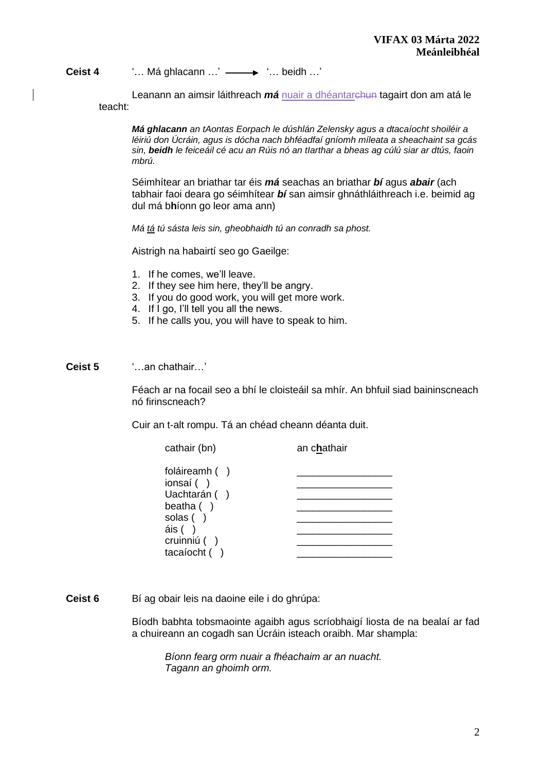Ceist 4 '… Má ghlacann …' → '… beidh …'

Leanann an aimsir láithreach *má* nuair a dhéantarchun tagairt don am atá le teacht:

*Má ghlacann an tAontas Eorpach le dúshlán Zelensky agus a dtacaíocht shoiléir a léiriú don Úcráin, agus is dócha nach bhféadfaí gníomh míleata a sheachaint sa gcás sin, beidh le feiceáil cé acu an Rúis nó an tIarthar a bheas ag cúlú siar ar dtús, faoin mbrú.*

Séimhítear an briathar tar éis *má* seachas an briathar *bí* agus *abair* (ach tabhair faoi deara go séimhítear *bí* san aimsir ghnáthláithreach i.e. beimid ag dul má b**h**íonn go leor ama ann)

*Má tá tú sásta leis sin, gheobhaidh tú an conradh sa phost.* 

Aistrigh na habairtí seo go Gaeilge:

- 1. If he comes, we'll leave.
- 2. If they see him here, they'll be angry.
- 3. If you do good work, you will get more work.
- 4. If I go, I'll tell you all the news.
- 5. If he calls you, you will have to speak to him.

#### **Ceist 5** '…an chathair…'

Féach ar na focail seo a bhí le cloisteáil sa mhír. An bhfuil siad baininscneach nó firinscneach?

Cuir an t-alt rompu. Tá an chéad cheann déanta duit.

| cathair (bn)                                                                                                   | an chathair |
|----------------------------------------------------------------------------------------------------------------|-------------|
| foláireamh ()<br>ionsaí ()<br>Uachtarán ()<br>beatha $( )$<br>solas ()<br>áis( )<br>cruinniú ()<br>tacaíocht ( |             |

**Ceist 6** Bí ag obair leis na daoine eile i do ghrúpa:

Bíodh babhta tobsmaointe agaibh agus scríobhaigí liosta de na bealaí ar fad a chuireann an cogadh san Úcráin isteach oraibh. Mar shampla:

*Bíonn fearg orm nuair a fhéachaim ar an nuacht. Tagann an ghoimh orm.*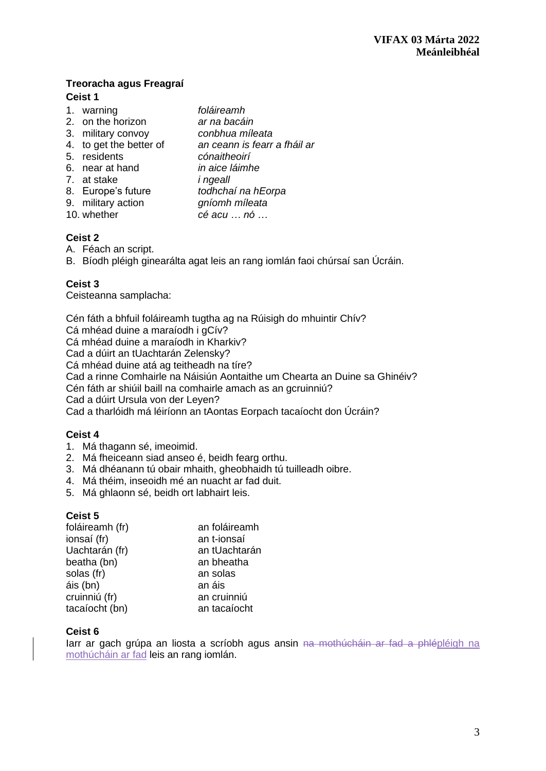## **Treoracha agus Freagraí Ceist 1**

| warning |  |
|---------|--|
|---------|--|

| 2. on the horizon       | ar na bacáin                 |
|-------------------------|------------------------------|
| 3. military convoy      | conbhua míleata              |
| 4. to get the better of | an ceann is fearr a fháil ai |
| 5. residents            | cónaitheoirí                 |
| 6. near at hand         | in aice láimhe               |
| 7. at stake             | <i>i</i> ngeall              |
| 8. Europe's future      | todhchaí na hEorpa           |
| 9. military action      | gníomh míleata               |
| 10. whether             | cé acu  nó                   |
|                         |                              |

## **Ceist 2**

- A. Féach an script.
- B. Bíodh pléigh ginearálta agat leis an rang iomlán faoi chúrsaí san Úcráin.

1. warning *foláireamh* 

## **Ceist 3**

Ceisteanna samplacha:

Cén fáth a bhfuil foláireamh tugtha ag na Rúisigh do mhuintir Chív?

Cá mhéad duine a maraíodh i gCív?

Cá mhéad duine a maraíodh in Kharkiv?

Cad a dúirt an tUachtarán Zelensky?

Cá mhéad duine atá ag teitheadh na tíre?

Cad a rinne Comhairle na Náisiún Aontaithe um Chearta an Duine sa Ghinéiv?

Cén fáth ar shiúil baill na comhairle amach as an gcruinniú?

Cad a dúirt Ursula von der Leyen?

Cad a tharlóidh má léiríonn an tAontas Eorpach tacaíocht don Úcráin?

## **Ceist 4**

- 1. Má thagann sé, imeoimid.
- 2. Má fheiceann siad anseo é, beidh fearg orthu.
- 3. Má dhéanann tú obair mhaith, gheobhaidh tú tuilleadh oibre.
- 4. Má théim, inseoidh mé an nuacht ar fad duit.
- 5. Má ghlaonn sé, beidh ort labhairt leis.

## **Ceist 5**

| foláireamh (fr) | an foláireamh |
|-----------------|---------------|
| ionsaí (fr)     | an t-ionsaí   |
| Uachtarán (fr)  | an tUachtarán |
| beatha (bn)     | an bheatha    |
| solas (fr)      | an solas      |
| áis (bn)        | an áis        |
| cruinniú (fr)   | an cruinniú   |
| tacaíocht (bn)  | an tacaíocht  |

## **Ceist 6**

larr ar gach grúpa an liosta a scríobh agus ansin na mothúcháin ar fad a phlépléigh na mothúcháin ar fad leis an rang iomlán.